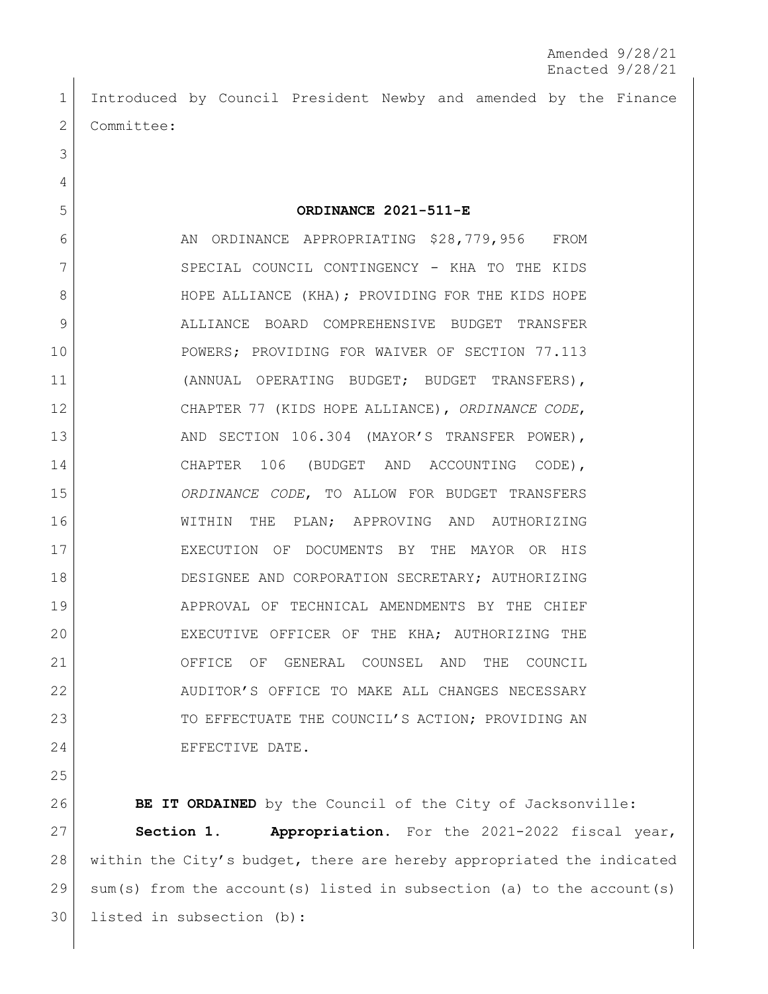Introduced by Council President Newby and amended by the Finance 2 Committee:

**ORDINANCE 2021-511-E**

6 AN ORDINANCE APPROPRIATING \$28,779,956 FROM 7 SPECIAL COUNCIL CONTINGENCY - KHA TO THE KIDS 8 | HOPE ALLIANCE (KHA); PROVIDING FOR THE KIDS HOPE ALLIANCE BOARD COMPREHENSIVE BUDGET TRANSFER 10 POWERS; PROVIDING FOR WAIVER OF SECTION 77.113 (ANNUAL OPERATING BUDGET; BUDGET TRANSFERS), CHAPTER 77 (KIDS HOPE ALLIANCE), *ORDINANCE CODE*, 13 AND SECTION 106.304 (MAYOR'S TRANSFER POWER), 14 CHAPTER 106 (BUDGET AND ACCOUNTING CODE), *ORDINANCE CODE*, TO ALLOW FOR BUDGET TRANSFERS WITHIN THE PLAN; APPROVING AND AUTHORIZING EXECUTION OF DOCUMENTS BY THE MAYOR OR HIS DESIGNEE AND CORPORATION SECRETARY; AUTHORIZING APPROVAL OF TECHNICAL AMENDMENTS BY THE CHIEF 20 EXECUTIVE OFFICER OF THE KHA; AUTHORIZING THE OFFICE OF GENERAL COUNSEL AND THE COUNCIL AUDITOR'S OFFICE TO MAKE ALL CHANGES NECESSARY 23 TO EFFECTUATE THE COUNCIL'S ACTION; PROVIDING AN 24 EFFECTIVE DATE.

**BE IT ORDAINED** by the Council of the City of Jacksonville: **Section 1. Appropriation.** For the 2021-2022 fiscal year, within the City's budget, there are hereby appropriated the indicated sum(s) from the account(s) listed in subsection (a) to the account(s) listed in subsection (b):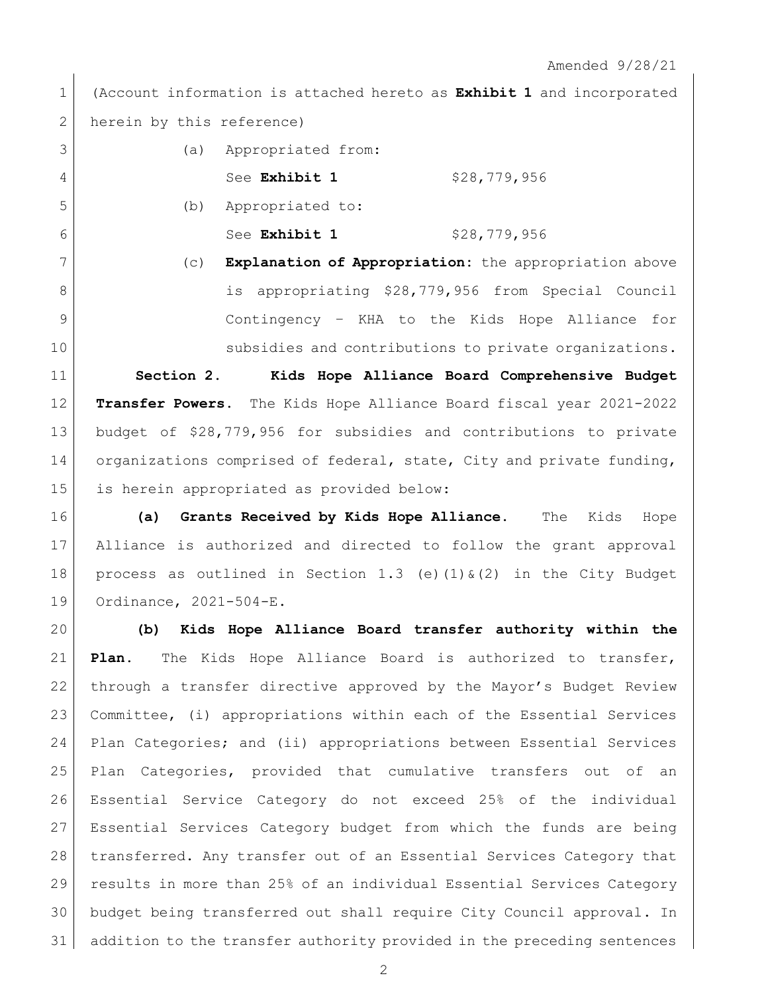(Account information is attached hereto as **Exhibit 1** and incorporated 2 herein by this reference)

|   | (a) | Appropriated from: |              |
|---|-----|--------------------|--------------|
| 4 |     | See Exhibit 1      | \$28,779,956 |
| 5 | (b) | Appropriated to:   |              |

See **Exhibit 1** \$28,779,956

 (c) **Explanation of Appropriation:** the appropriation above 8 is appropriating \$28,779,956 from Special Council Contingency – KHA to the Kids Hope Alliance for 10 subsidies and contributions to private organizations.

 **Section 2. Kids Hope Alliance Board Comprehensive Budget Transfer Powers.** The Kids Hope Alliance Board fiscal year 2021-2022 budget of \$28,779,956 for subsidies and contributions to private 14 organizations comprised of federal, state, City and private funding, is herein appropriated as provided below:

 **(a) Grants Received by Kids Hope Alliance.** The Kids Hope Alliance is authorized and directed to follow the grant approval 18 process as outlined in Section 1.3 (e)(1)  $\&(2)$  in the City Budget Ordinance, 2021-504-E.

 **(b) Kids Hope Alliance Board transfer authority within the Plan.** The Kids Hope Alliance Board is authorized to transfer, through a transfer directive approved by the Mayor's Budget Review Committee, (i) appropriations within each of the Essential Services Plan Categories; and (ii) appropriations between Essential Services Plan Categories, provided that cumulative transfers out of an Essential Service Category do not exceed 25% of the individual Essential Services Category budget from which the funds are being 28 transferred. Any transfer out of an Essential Services Category that 29 results in more than 25% of an individual Essential Services Category budget being transferred out shall require City Council approval. In addition to the transfer authority provided in the preceding sentences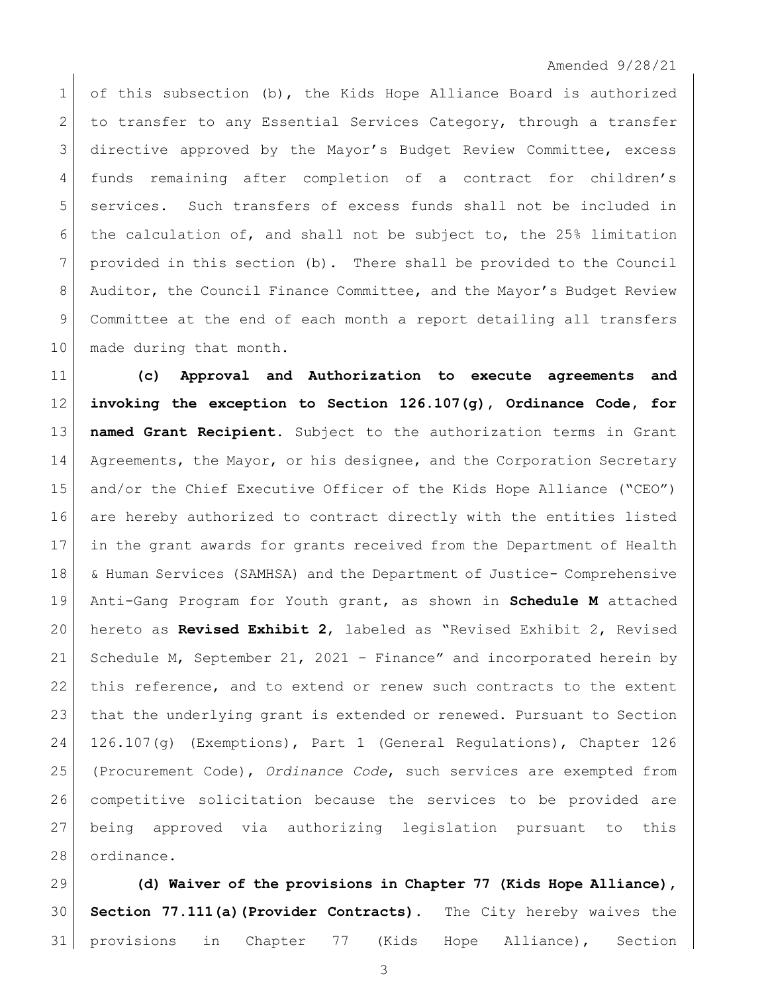Amended 9/28/21

 of this subsection (b), the Kids Hope Alliance Board is authorized 2 to transfer to any Essential Services Category, through a transfer directive approved by the Mayor's Budget Review Committee, excess funds remaining after completion of a contract for children's services. Such transfers of excess funds shall not be included in the calculation of, and shall not be subject to, the 25% limitation provided in this section (b). There shall be provided to the Council 8 Auditor, the Council Finance Committee, and the Mayor's Budget Review Committee at the end of each month a report detailing all transfers 10 | made during that month.

 **(c) Approval and Authorization to execute agreements and invoking the exception to Section 126.107(g), Ordinance Code, for named Grant Recipient**. Subject to the authorization terms in Grant 14 Agreements, the Mayor, or his designee, and the Corporation Secretary and/or the Chief Executive Officer of the Kids Hope Alliance ("CEO") are hereby authorized to contract directly with the entities listed in the grant awards for grants received from the Department of Health & Human Services (SAMHSA) and the Department of Justice- Comprehensive Anti-Gang Program for Youth grant, as shown in **Schedule M** attached hereto as **Revised Exhibit 2**, labeled as "Revised Exhibit 2, Revised 21 Schedule M, September 21, 2021 - Finance" and incorporated herein by this reference, and to extend or renew such contracts to the extent that the underlying grant is extended or renewed. Pursuant to Section 126.107(g) (Exemptions), Part 1 (General Regulations), Chapter 126 (Procurement Code), *Ordinance Code*, such services are exempted from competitive solicitation because the services to be provided are being approved via authorizing legislation pursuant to this ordinance.

 **(d) Waiver of the provisions in Chapter 77 (Kids Hope Alliance), Section 77.111(a)(Provider Contracts).** The City hereby waives the provisions in Chapter 77 (Kids Hope Alliance), Section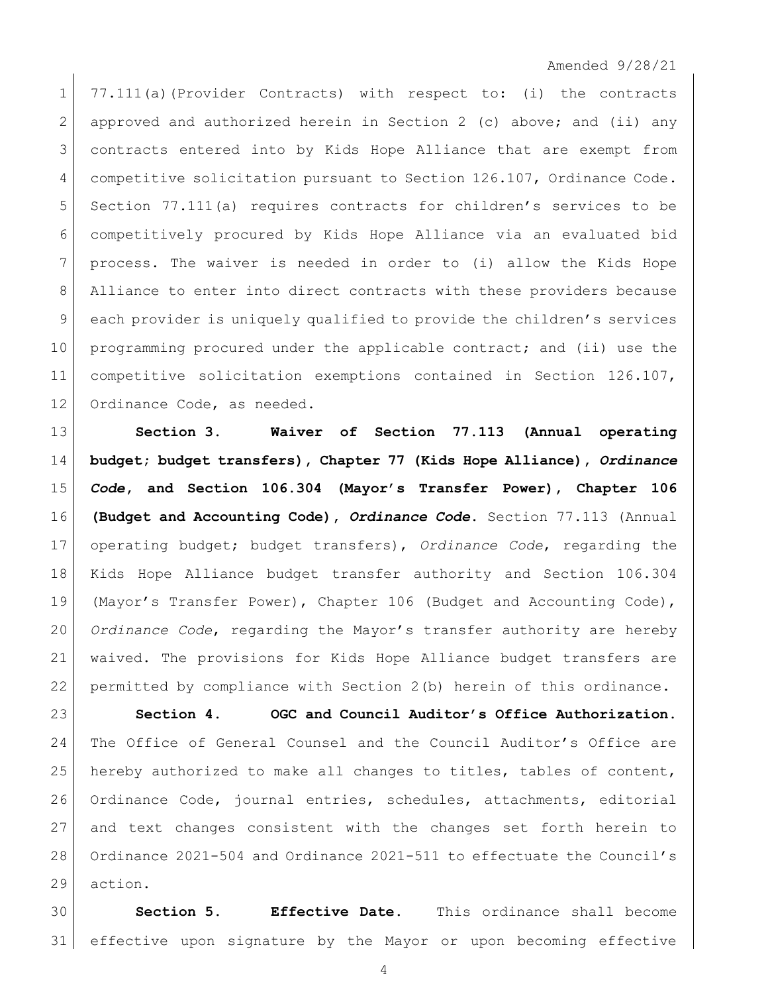## Amended 9/28/21

 77.111(a)(Provider Contracts) with respect to: (i) the contracts approved and authorized herein in Section 2 (c) above; and (ii) any contracts entered into by Kids Hope Alliance that are exempt from competitive solicitation pursuant to Section 126.107, Ordinance Code. Section 77.111(a) requires contracts for children's services to be competitively procured by Kids Hope Alliance via an evaluated bid process. The waiver is needed in order to (i) allow the Kids Hope Alliance to enter into direct contracts with these providers because each provider is uniquely qualified to provide the children's services 10 programming procured under the applicable contract; and (ii) use the competitive solicitation exemptions contained in Section 126.107, 12 Ordinance Code, as needed.

 **Section 3. Waiver of Section 77.113 (Annual operating budget; budget transfers), Chapter 77 (Kids Hope Alliance),** *Ordinance Code***, and Section 106.304 (Mayor's Transfer Power), Chapter 106 (Budget and Accounting Code),** *Ordinance Code***.** Section 77.113 (Annual operating budget; budget transfers), *Ordinance Code*, regarding the Kids Hope Alliance budget transfer authority and Section 106.304 (Mayor's Transfer Power), Chapter 106 (Budget and Accounting Code), *Ordinance Code*, regarding the Mayor's transfer authority are hereby waived. The provisions for Kids Hope Alliance budget transfers are permitted by compliance with Section 2(b) herein of this ordinance.

 **Section 4. OGC and Council Auditor's Office Authorization.**  The Office of General Counsel and the Council Auditor's Office are hereby authorized to make all changes to titles, tables of content, Ordinance Code, journal entries, schedules, attachments, editorial and text changes consistent with the changes set forth herein to Ordinance 2021-504 and Ordinance 2021-511 to effectuate the Council's action.

 **Section 5. Effective Date.** This ordinance shall become effective upon signature by the Mayor or upon becoming effective